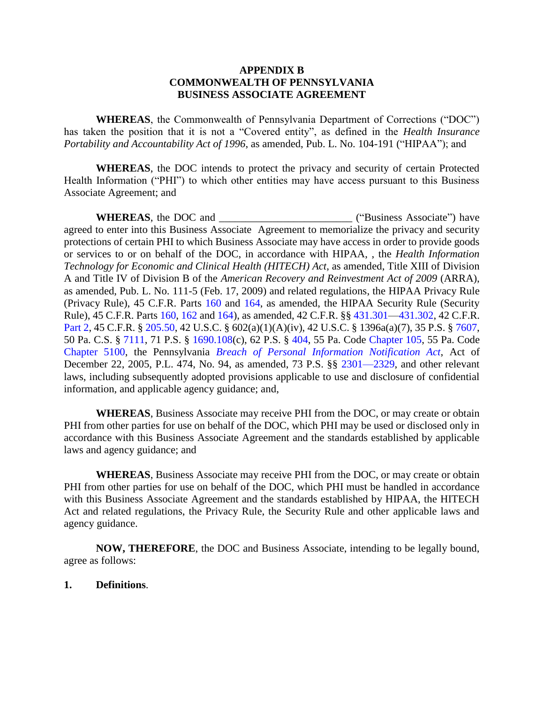## **APPENDIX B COMMONWEALTH OF PENNSYLVANIA BUSINESS ASSOCIATE AGREEMENT**

**WHEREAS**, the Commonwealth of Pennsylvania Department of Corrections ("DOC") has taken the position that it is not a "Covered entity", as defined in the *Health Insurance Portability and Accountability Act of 1996*, as amended, Pub. L. No. 104-191 ("HIPAA"); and

**WHEREAS**, the DOC intends to protect the privacy and security of certain Protected Health Information ("PHI") to which other entities may have access pursuant to this Business Associate Agreement; and

WHEREAS, the DOC and \_\_\_\_\_\_\_\_\_\_\_\_\_\_\_\_\_\_\_\_\_\_\_\_\_\_\_\_\_\_\_\_\_\_ ("Business Associate") have agreed to enter into this Business Associate Agreement to memorialize the privacy and security protections of certain PHI to which Business Associate may have access in order to provide goods or services to or on behalf of the DOC, in accordance with HIPAA, , the *Health Information Technology for Economic and Clinical Health (HITECH) Act*, as amended, Title XIII of Division A and Title IV of Division B of the *American Recovery and Reinvestment Act of 2009* (ARRA), as amended, Pub. L. No. 111-5 (Feb. 17, 2009) and related regulations, the HIPAA Privacy Rule (Privacy Rule), 45 C.F.R. Parts [160](https://www.ecfr.gov/cgi-bin/text-idx?SID=392f70b7e0555b1f527c3f598ac23189&mc=true&node=pt45.1.160&rgn=div5) and [164,](https://www.ecfr.gov/cgi-bin/text-idx?SID=392f70b7e0555b1f527c3f598ac23189&mc=true&node=pt45.1.164&rgn=div5) as amended, the HIPAA Security Rule (Security Rule), 45 C.F.R. Parts [160,](https://www.ecfr.gov/cgi-bin/text-idx?SID=392f70b7e0555b1f527c3f598ac23189&mc=true&node=pt45.1.160&rgn=div5) [162](https://www.ecfr.gov/cgi-bin/text-idx?SID=392f70b7e0555b1f527c3f598ac23189&mc=true&node=pt45.1.162&rgn=div5) an[d 164\)](https://www.ecfr.gov/cgi-bin/text-idx?SID=392f70b7e0555b1f527c3f598ac23189&mc=true&node=pt45.1.164&rgn=div5), as amended, 42 C.F.R. §§ [431.301](https://www.ecfr.gov/cgi-bin/text-idx?SID=392f70b7e0555b1f527c3f598ac23189&mc=true&node=se42.4.431_1301&rgn=div8)[—431.302,](https://www.ecfr.gov/cgi-bin/text-idx?SID=392f70b7e0555b1f527c3f598ac23189&mc=true&node=se42.4.431_1302&rgn=div8) 42 C.F.R. [Part 2,](https://www.ecfr.gov/cgi-bin/text-idx?SID=392f70b7e0555b1f527c3f598ac23189&mc=true&tpl=/ecfrbrowse/Title42/42cfr2_main_02.tpl) 45 C.F.R. § [205.50,](https://www.ecfr.gov/cgi-bin/text-idx?SID=392f70b7e0555b1f527c3f598ac23189&mc=true&node=pt45.2.205&rgn=div5#se45.2.205_150) 42 U.S.C. § 602(a)(1)(A)(iv), 42 U.S.C. § 1396a(a)(7), 35 P.S. § [7607,](https://govt.westlaw.com/pac/Document/NC8C8E770343D11DA8A989F4EECDB8638?viewType=FullText&originationContext=documenttoc&transitionType=CategoryPageItem&contextData=(sc.Default)) 50 Pa. C.S. § [7111,](https://govt.westlaw.com/pac/Document/NAEB8FB70344411DA8A989F4EECDB8638?viewType=FullText&originationContext=documenttoc&transitionType=CategoryPageItem&contextData=(sc.Default)) 71 P.S. § [1690.108\(](https://govt.westlaw.com/pac/Document/N6E0D5A40343911DA8A989F4EECDB8638?viewType=FullText&originationContext=documenttoc&transitionType=CategoryPageItem&contextData=(sc.Default))c), 62 P.S. § [404,](https://govt.westlaw.com/pac/Document/N26B12250342811DA8A989F4EECDB8638?viewType=FullText&originationContext=documenttoc&transitionType=CategoryPageItem&contextData=(sc.Default)) 55 Pa. Code [Chapter 105,](http://www.pacode.com/secure/data/055/chapter105/chap105toc.html) 55 Pa. Code [Chapter 5100,](http://www.pacode.com/secure/data/055/chapter5100/chap5100toc.html) the Pennsylvania *[Breach of Personal Information Notification Act](http://www.legis.state.pa.us/cfdocs/Legis/LI/uconsCheck.cfm?txtType=HTM&yr=2005&sessInd=0&smthLwInd=0&act=0094.)*, Act of December 22, 2005, P.L. 474, No. 94, as amended, 73 P.S. §§ [2301—2329,](http://www.legis.state.pa.us/cfdocs/Legis/LI/uconsCheck.cfm?txtType=HTM&yr=2005&sessInd=0&smthLwInd=0&act=0094.) and other relevant laws, including subsequently adopted provisions applicable to use and disclosure of confidential information, and applicable agency guidance; and,

**WHEREAS**, Business Associate may receive PHI from the DOC, or may create or obtain PHI from other parties for use on behalf of the DOC, which PHI may be used or disclosed only in accordance with this Business Associate Agreement and the standards established by applicable laws and agency guidance; and

**WHEREAS**, Business Associate may receive PHI from the DOC, or may create or obtain PHI from other parties for use on behalf of the DOC, which PHI must be handled in accordance with this Business Associate Agreement and the standards established by HIPAA, the HITECH Act and related regulations, the Privacy Rule, the Security Rule and other applicable laws and agency guidance.

**NOW, THEREFORE**, the DOC and Business Associate, intending to be legally bound, agree as follows:

## **1. Definitions**.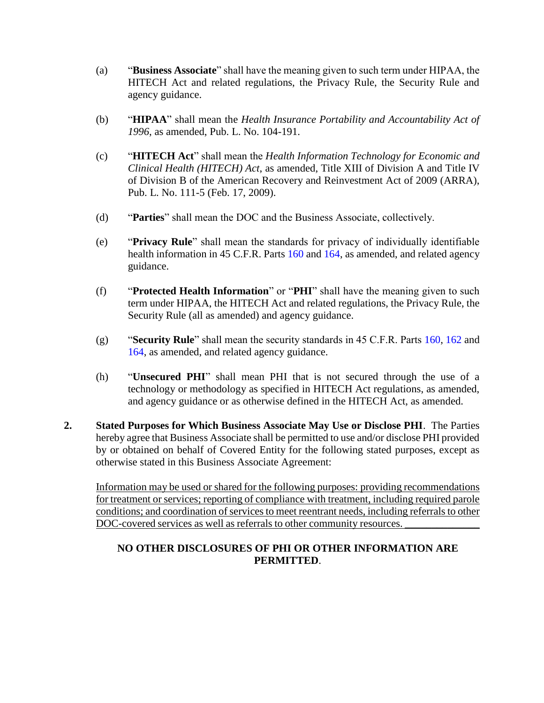- (a) "**Business Associate**" shall have the meaning given to such term under HIPAA, the HITECH Act and related regulations, the Privacy Rule, the Security Rule and agency guidance.
- (b) "**HIPAA**" shall mean the *Health Insurance Portability and Accountability Act of 1996*, as amended, Pub. L. No. 104-191.
- (c) "**HITECH Act**" shall mean the *Health Information Technology for Economic and Clinical Health (HITECH) Act*, as amended, Title XIII of Division A and Title IV of Division B of the American Recovery and Reinvestment Act of 2009 (ARRA), Pub. L. No. 111-5 (Feb. 17, 2009).
- (d) "**Parties**" shall mean the DOC and the Business Associate, collectively.
- (e) "**Privacy Rule**" shall mean the standards for privacy of individually identifiable health information in 45 C.F.R. Parts [160](https://www.ecfr.gov/cgi-bin/text-idx?SID=392f70b7e0555b1f527c3f598ac23189&mc=true&node=pt45.1.160&rgn=div5) and [164,](https://www.ecfr.gov/cgi-bin/text-idx?SID=392f70b7e0555b1f527c3f598ac23189&mc=true&node=pt45.1.164&rgn=div5) as amended, and related agency guidance.
- (f) "**Protected Health Information**" or "**PHI**" shall have the meaning given to such term under HIPAA, the HITECH Act and related regulations, the Privacy Rule, the Security Rule (all as amended) and agency guidance.
- (g) "**Security Rule**" shall mean the security standards in 45 C.F.R. Parts [160,](https://www.ecfr.gov/cgi-bin/text-idx?SID=392f70b7e0555b1f527c3f598ac23189&mc=true&node=pt45.1.160&rgn=div5) [162](https://www.ecfr.gov/cgi-bin/text-idx?SID=392f70b7e0555b1f527c3f598ac23189&mc=true&node=pt45.1.162&rgn=div5) and [164,](https://www.ecfr.gov/cgi-bin/text-idx?SID=392f70b7e0555b1f527c3f598ac23189&mc=true&node=pt45.1.164&rgn=div5) as amended, and related agency guidance.
- (h) "**Unsecured PHI**" shall mean PHI that is not secured through the use of a technology or methodology as specified in HITECH Act regulations, as amended, and agency guidance or as otherwise defined in the HITECH Act, as amended.
- **2. Stated Purposes for Which Business Associate May Use or Disclose PHI**. The Parties hereby agree that Business Associate shall be permitted to use and/or disclose PHI provided by or obtained on behalf of Covered Entity for the following stated purposes, except as otherwise stated in this Business Associate Agreement:

Information may be used or shared for the following purposes: providing recommendations for treatment or services; reporting of compliance with treatment, including required parole conditions; and coordination of services to meet reentrant needs, including referrals to other DOC-covered services as well as referrals to other community resources.

# **NO OTHER DISCLOSURES OF PHI OR OTHER INFORMATION ARE PERMITTED**.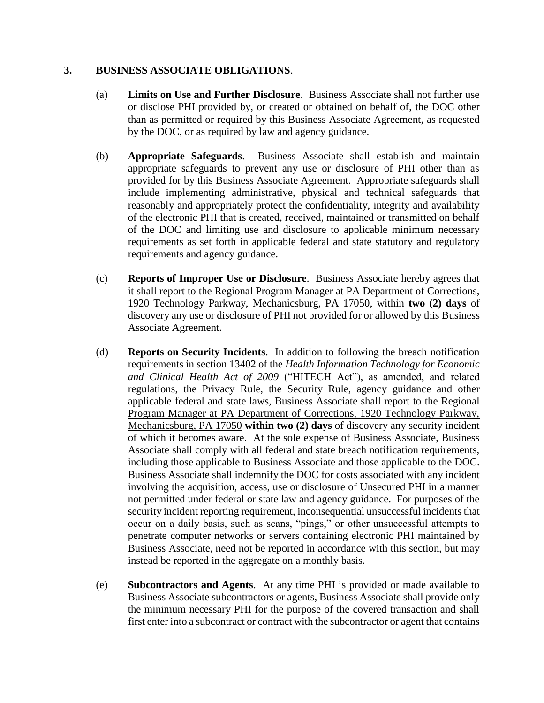# **3. BUSINESS ASSOCIATE OBLIGATIONS**.

- (a) **Limits on Use and Further Disclosure**. Business Associate shall not further use or disclose PHI provided by, or created or obtained on behalf of, the DOC other than as permitted or required by this Business Associate Agreement, as requested by the DOC, or as required by law and agency guidance.
- (b) **Appropriate Safeguards**. Business Associate shall establish and maintain appropriate safeguards to prevent any use or disclosure of PHI other than as provided for by this Business Associate Agreement. Appropriate safeguards shall include implementing administrative, physical and technical safeguards that reasonably and appropriately protect the confidentiality, integrity and availability of the electronic PHI that is created, received, maintained or transmitted on behalf of the DOC and limiting use and disclosure to applicable minimum necessary requirements as set forth in applicable federal and state statutory and regulatory requirements and agency guidance.
- (c) **Reports of Improper Use or Disclosure**. Business Associate hereby agrees that it shall report to the Regional Program Manager at PA Department of Corrections, 1920 Technology Parkway, Mechanicsburg, PA 17050, within **two (2) days** of discovery any use or disclosure of PHI not provided for or allowed by this Business Associate Agreement.
- (d) **Reports on Security Incidents**. In addition to following the breach notification requirements in section 13402 of the *Health Information Technology for Economic and Clinical Health Act of 2009* ("HITECH Act"), as amended, and related regulations, the Privacy Rule, the Security Rule, agency guidance and other applicable federal and state laws, Business Associate shall report to the Regional Program Manager at PA Department of Corrections, 1920 Technology Parkway, Mechanicsburg, PA 17050 **within two (2) days** of discovery any security incident of which it becomes aware. At the sole expense of Business Associate, Business Associate shall comply with all federal and state breach notification requirements, including those applicable to Business Associate and those applicable to the DOC. Business Associate shall indemnify the DOC for costs associated with any incident involving the acquisition, access, use or disclosure of Unsecured PHI in a manner not permitted under federal or state law and agency guidance. For purposes of the security incident reporting requirement, inconsequential unsuccessful incidents that occur on a daily basis, such as scans, "pings," or other unsuccessful attempts to penetrate computer networks or servers containing electronic PHI maintained by Business Associate, need not be reported in accordance with this section, but may instead be reported in the aggregate on a monthly basis.
- (e) **Subcontractors and Agents**. At any time PHI is provided or made available to Business Associate subcontractors or agents, Business Associate shall provide only the minimum necessary PHI for the purpose of the covered transaction and shall first enter into a subcontract or contract with the subcontractor or agent that contains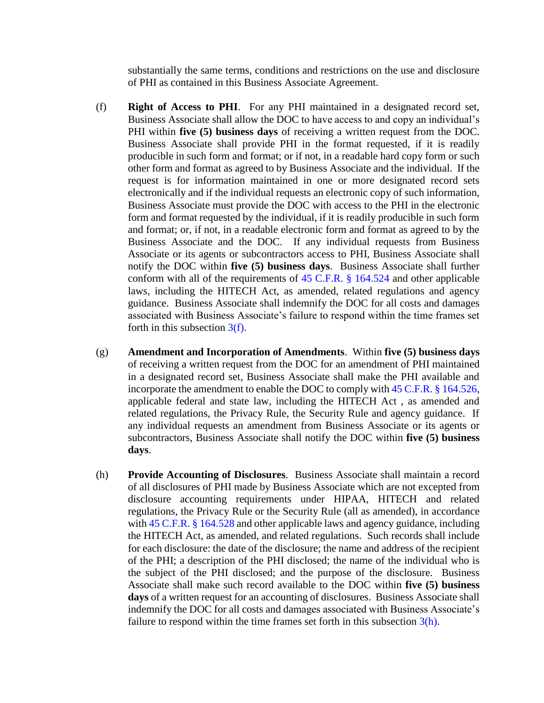substantially the same terms, conditions and restrictions on the use and disclosure of PHI as contained in this Business Associate Agreement.

- <span id="page-3-0"></span>(f) **Right of Access to PHI**. For any PHI maintained in a designated record set, Business Associate shall allow the DOC to have access to and copy an individual's PHI within **five (5) business days** of receiving a written request from the DOC. Business Associate shall provide PHI in the format requested, if it is readily producible in such form and format; or if not, in a readable hard copy form or such other form and format as agreed to by Business Associate and the individual. If the request is for information maintained in one or more designated record sets electronically and if the individual requests an electronic copy of such information, Business Associate must provide the DOC with access to the PHI in the electronic form and format requested by the individual, if it is readily producible in such form and format; or, if not, in a readable electronic form and format as agreed to by the Business Associate and the DOC. If any individual requests from Business Associate or its agents or subcontractors access to PHI, Business Associate shall notify the DOC within **five (5) business days**. Business Associate shall further conform with all of the requirements of [45 C.F.R. § 164.524](https://www.ecfr.gov/cgi-bin/text-idx?SID=392f70b7e0555b1f527c3f598ac23189&mc=true&node=se45.1.164_1524&rgn=div8) and other applicable laws, including the HITECH Act, as amended, related regulations and agency guidance. Business Associate shall indemnify the DOC for all costs and damages associated with Business Associate's failure to respond within the time frames set forth in this subsection [3\(f\).](#page-3-0)
- (g) **Amendment and Incorporation of Amendments**. Within **five (5) business days**  of receiving a written request from the DOC for an amendment of PHI maintained in a designated record set, Business Associate shall make the PHI available and incorporate the amendment to enable the DOC to comply with [45 C.F.R. § 164.526,](https://www.ecfr.gov/cgi-bin/text-idx?SID=392f70b7e0555b1f527c3f598ac23189&mc=true&node=se45.1.164_1526&rgn=div8) applicable federal and state law, including the HITECH Act , as amended and related regulations, the Privacy Rule, the Security Rule and agency guidance. If any individual requests an amendment from Business Associate or its agents or subcontractors, Business Associate shall notify the DOC within **five (5) business days**.
- <span id="page-3-1"></span>(h) **Provide Accounting of Disclosures**. Business Associate shall maintain a record of all disclosures of PHI made by Business Associate which are not excepted from disclosure accounting requirements under HIPAA, HITECH and related regulations, the Privacy Rule or the Security Rule (all as amended), in accordance with [45 C.F.R. § 164.528](https://www.ecfr.gov/cgi-bin/retrieveECFR?gp=&SID=392f70b7e0555b1f527c3f598ac23189&mc=true&r=SECTION&n=se45.1.164_1528) and other applicable laws and agency guidance, including the HITECH Act, as amended, and related regulations. Such records shall include for each disclosure: the date of the disclosure; the name and address of the recipient of the PHI; a description of the PHI disclosed; the name of the individual who is the subject of the PHI disclosed; and the purpose of the disclosure. Business Associate shall make such record available to the DOC within **five (5) business days** of a written request for an accounting of disclosures. Business Associate shall indemnify the DOC for all costs and damages associated with Business Associate's failure to respond within the time frames set forth in this subsection  $3(h)$ .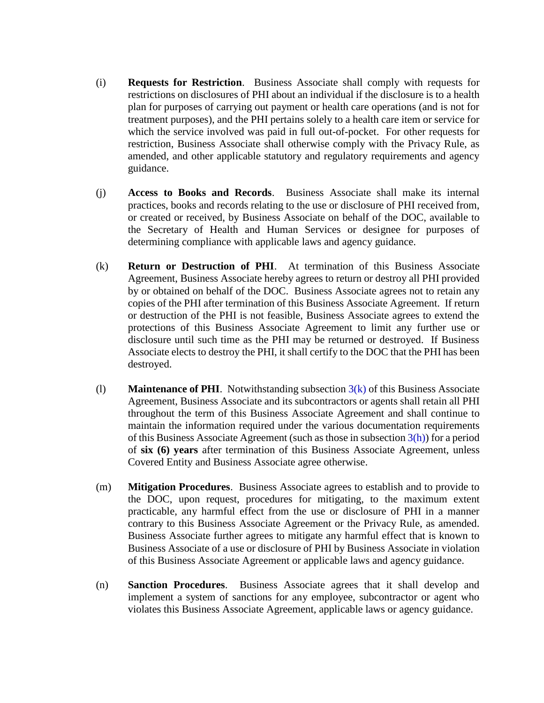- (i) **Requests for Restriction**. Business Associate shall comply with requests for restrictions on disclosures of PHI about an individual if the disclosure is to a health plan for purposes of carrying out payment or health care operations (and is not for treatment purposes), and the PHI pertains solely to a health care item or service for which the service involved was paid in full out-of-pocket. For other requests for restriction, Business Associate shall otherwise comply with the Privacy Rule, as amended, and other applicable statutory and regulatory requirements and agency guidance.
- (j) **Access to Books and Records**. Business Associate shall make its internal practices, books and records relating to the use or disclosure of PHI received from, or created or received, by Business Associate on behalf of the DOC, available to the Secretary of Health and Human Services or designee for purposes of determining compliance with applicable laws and agency guidance.
- <span id="page-4-0"></span>(k) **Return or Destruction of PHI**. At termination of this Business Associate Agreement, Business Associate hereby agrees to return or destroy all PHI provided by or obtained on behalf of the DOC. Business Associate agrees not to retain any copies of the PHI after termination of this Business Associate Agreement. If return or destruction of the PHI is not feasible, Business Associate agrees to extend the protections of this Business Associate Agreement to limit any further use or disclosure until such time as the PHI may be returned or destroyed. If Business Associate elects to destroy the PHI, it shall certify to the DOC that the PHI has been destroyed.
- (l) **Maintenance of PHI**. Notwithstanding subsection [3\(k\)](#page-4-0) of this Business Associate Agreement, Business Associate and its subcontractors or agents shall retain all PHI throughout the term of this Business Associate Agreement and shall continue to maintain the information required under the various documentation requirements of this Business Associate Agreement (such as those in subsection  $3(h)$ ) for a period of **six (6) years** after termination of this Business Associate Agreement, unless Covered Entity and Business Associate agree otherwise.
- (m) **Mitigation Procedures**. Business Associate agrees to establish and to provide to the DOC, upon request, procedures for mitigating, to the maximum extent practicable, any harmful effect from the use or disclosure of PHI in a manner contrary to this Business Associate Agreement or the Privacy Rule, as amended. Business Associate further agrees to mitigate any harmful effect that is known to Business Associate of a use or disclosure of PHI by Business Associate in violation of this Business Associate Agreement or applicable laws and agency guidance.
- (n) **Sanction Procedures**. Business Associate agrees that it shall develop and implement a system of sanctions for any employee, subcontractor or agent who violates this Business Associate Agreement, applicable laws or agency guidance.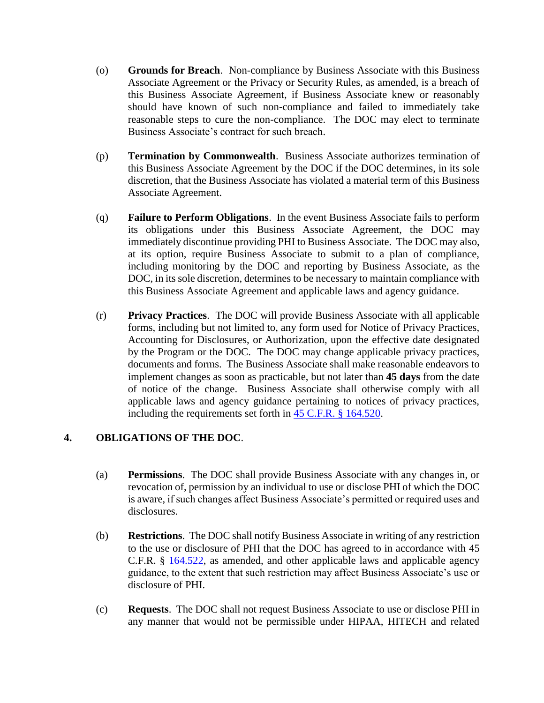- (o) **Grounds for Breach**. Non-compliance by Business Associate with this Business Associate Agreement or the Privacy or Security Rules, as amended, is a breach of this Business Associate Agreement, if Business Associate knew or reasonably should have known of such non-compliance and failed to immediately take reasonable steps to cure the non-compliance. The DOC may elect to terminate Business Associate's contract for such breach.
- (p) **Termination by Commonwealth**. Business Associate authorizes termination of this Business Associate Agreement by the DOC if the DOC determines, in its sole discretion, that the Business Associate has violated a material term of this Business Associate Agreement.
- (q) **Failure to Perform Obligations**. In the event Business Associate fails to perform its obligations under this Business Associate Agreement, the DOC may immediately discontinue providing PHI to Business Associate. The DOC may also, at its option, require Business Associate to submit to a plan of compliance, including monitoring by the DOC and reporting by Business Associate, as the DOC, in its sole discretion, determines to be necessary to maintain compliance with this Business Associate Agreement and applicable laws and agency guidance.
- (r) **Privacy Practices**. The DOC will provide Business Associate with all applicable forms, including but not limited to, any form used for Notice of Privacy Practices, Accounting for Disclosures, or Authorization, upon the effective date designated by the Program or the DOC. The DOC may change applicable privacy practices, documents and forms. The Business Associate shall make reasonable endeavors to implement changes as soon as practicable, but not later than **45 days** from the date of notice of the change. Business Associate shall otherwise comply with all applicable laws and agency guidance pertaining to notices of privacy practices, including the requirements set forth in [45 C.F.R. § 164.520.](https://www.gpo.gov/fdsys/pkg/CFR-2015-title45-vol1/xml/CFR-2015-title45-vol1-sec164-520.xml)

# **4. OBLIGATIONS OF THE DOC**.

- (a) **Permissions**. The DOC shall provide Business Associate with any changes in, or revocation of, permission by an individual to use or disclose PHI of which the DOC is aware, if such changes affect Business Associate's permitted or required uses and disclosures.
- (b) **Restrictions**. The DOC shall notify Business Associate in writing of any restriction to the use or disclosure of PHI that the DOC has agreed to in accordance with 45 C.F.R. § [164.522,](https://www.ecfr.gov/cgi-bin/text-idx?SID=43f463efd94bc2fffb1f81426b19b21f&mc=true&node=se45.1.164_1522&rgn=div8) as amended, and other applicable laws and applicable agency guidance, to the extent that such restriction may affect Business Associate's use or disclosure of PHI.
- (c) **Requests**. The DOC shall not request Business Associate to use or disclose PHI in any manner that would not be permissible under HIPAA, HITECH and related